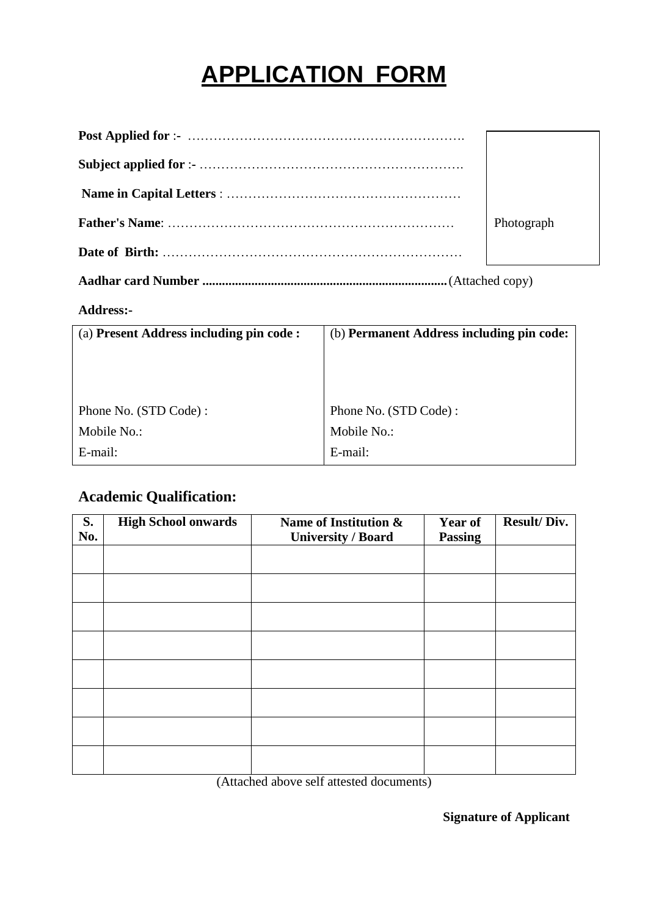# **APPLICATION FORM**

| Photograph |
|------------|
|            |

**Aadhar card Number ...........................................................................**(Attached copy)

#### **Address:-**

| (a) Present Address including pin code: | (b) Permanent Address including pin code: |
|-----------------------------------------|-------------------------------------------|
|                                         |                                           |
|                                         |                                           |
|                                         |                                           |
| Phone No. (STD Code):                   | Phone No. (STD Code):                     |
| Mobile No.:                             | Mobile No.:                               |
| E-mail:                                 | E-mail:                                   |

### **Academic Qualification:**

| S.<br>No. | <b>High School onwards</b> | Name of Institution &<br><b>University / Board</b>            | <b>Year of</b><br><b>Passing</b> | <b>Result/Div.</b> |
|-----------|----------------------------|---------------------------------------------------------------|----------------------------------|--------------------|
|           |                            |                                                               |                                  |                    |
|           |                            |                                                               |                                  |                    |
|           |                            |                                                               |                                  |                    |
|           |                            |                                                               |                                  |                    |
|           |                            |                                                               |                                  |                    |
|           |                            |                                                               |                                  |                    |
|           |                            |                                                               |                                  |                    |
|           |                            |                                                               |                                  |                    |
|           | $\sim$ $\sim$ $\sim$       | $\sim$ $\sim$ $\sim$ $\sim$<br>$\sim$ $\sim$<br>$\sim$ $\sim$ |                                  |                    |

(Attached above self attested documents)

**Signature of Applicant**